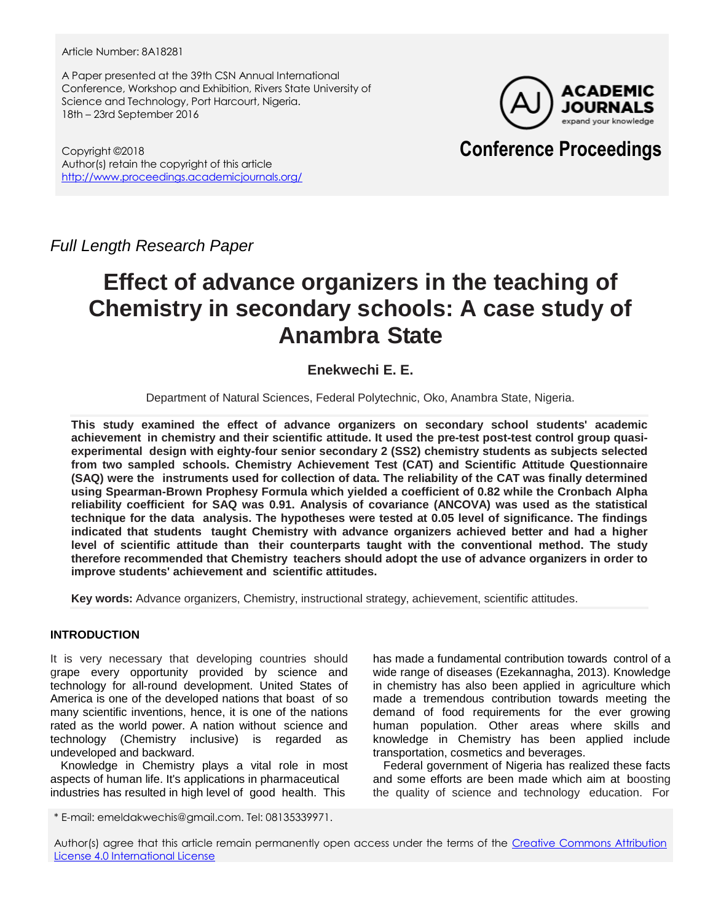Article Number: 8A18281

A Paper presented at the 39th CSN Annual International Conference, Workshop and Exhibition, Rivers State University of Science and Technology, Port Harcourt, Nigeria. 18th – 23rd September 2016

ACADEMIC expand vour knowledge

Copyright ©2018 Author(s) retain the copyright of this article <http://www.proceedings.academicjournals.org/> **Conference Proceedings**

*Full Length Research Paper*

# **Effect of advance organizers in the teaching of Chemistry in secondary schools: A case study of Anambra State**

# **Enekwechi E. E.**

Department of Natural Sciences, Federal Polytechnic, Oko, Anambra State, Nigeria.

**This study examined the effect of advance organizers on secondary school students' academic achievement in chemistry and their scientific attitude. It used the pre-test post-test control group quasiexperimental design with eighty-four senior secondary 2 (SS2) chemistry students as subjects selected from two sampled schools. Chemistry Achievement Test (CAT) and Scientific Attitude Questionnaire (SAQ) were the instruments used for collection of data. The reliability of the CAT was finally determined using Spearman-Brown Prophesy Formula which yielded a coefficient of 0.82 while the Cronbach Alpha reliability coefficient for SAQ was 0.91. Analysis of covariance (ANCOVA) was used as the statistical technique for the data analysis. The hypotheses were tested at 0.05 level of significance. The findings indicated that students taught Chemistry with advance organizers achieved better and had a higher level of scientific attitude than their counterparts taught with the conventional method. The study therefore recommended that Chemistry teachers should adopt the use of advance organizers in order to improve students' achievement and scientific attitudes.**

**Key words:** Advance organizers, Chemistry, instructional strategy, achievement, scientific attitudes.

# **INTRODUCTION**

It is very necessary that developing countries should grape every opportunity provided by science and technology for all-round development. United States of America is one of the developed nations that boast of so many scientific inventions, hence, it is one of the nations rated as the world power. A nation without science and technology (Chemistry inclusive) is regarded as undeveloped and backward.

Knowledge in Chemistry plays a vital role in most aspects of human life. It's applications in pharmaceutical industries has resulted in high level of good health. This

has made a fundamental contribution towards control of a wide range of diseases (Ezekannagha, 2013). Knowledge in chemistry has also been applied in agriculture which made a tremendous contribution towards meeting the demand of food requirements for the ever growing human population. Other areas where skills and knowledge in Chemistry has been applied include transportation, cosmetics and beverages.

Federal government of Nigeria has realized these facts and some efforts are been made which aim at boosting the quality of science and technology education. For

Author(s) agree that this article remain permanently open access under the terms of the Creative Commons Attribution [License 4.0 International License](http://creativecommons.org/licenses/by/4.0/deed.en_US)

<sup>\*</sup> E-mail: emeldakwechis@gmail.com. Tel: 08135339971.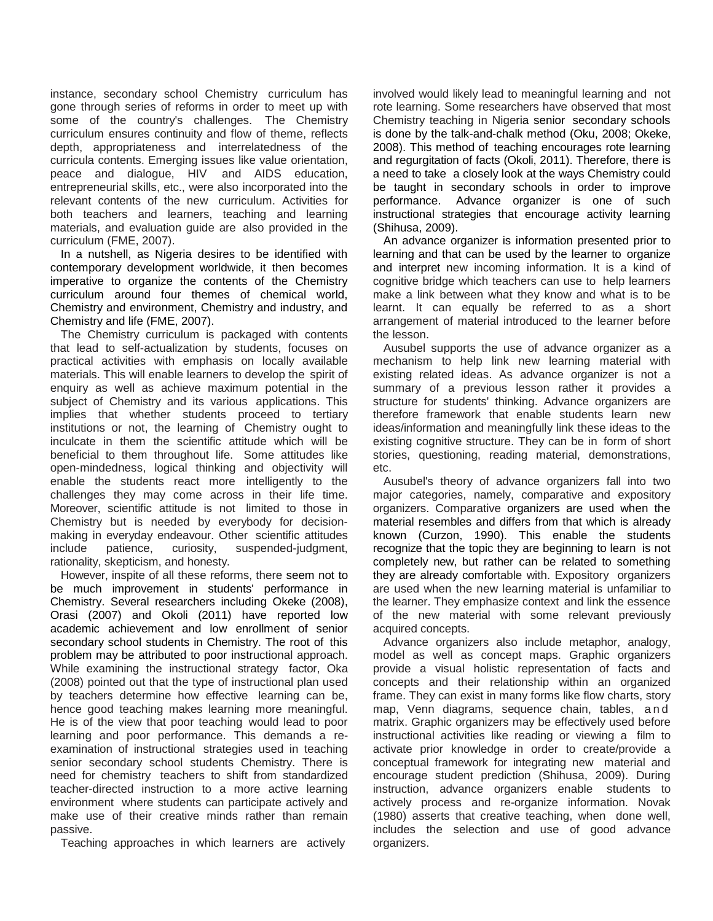instance, secondary school Chemistry curriculum has gone through series of reforms in order to meet up with some of the country's challenges. The Chemistry curriculum ensures continuity and flow of theme, reflects depth, appropriateness and interrelatedness of the curricula contents. Emerging issues like value orientation, peace and dialogue, HIV and AIDS education, entrepreneurial skills, etc., were also incorporated into the relevant contents of the new curriculum. Activities for both teachers and learners, teaching and learning materials, and evaluation guide are also provided in the curriculum (FME, 2007).

In a nutshell, as Nigeria desires to be identified with contemporary development worldwide, it then becomes imperative to organize the contents of the Chemistry curriculum around four themes of chemical world, Chemistry and environment, Chemistry and industry, and Chemistry and life (FME, 2007).

The Chemistry curriculum is packaged with contents that lead to self-actualization by students, focuses on practical activities with emphasis on locally available materials. This will enable learners to develop the spirit of enquiry as well as achieve maximum potential in the subject of Chemistry and its various applications. This implies that whether students proceed to tertiary institutions or not, the learning of Chemistry ought to inculcate in them the scientific attitude which will be beneficial to them throughout life. Some attitudes like open-mindedness, logical thinking and objectivity will enable the students react more intelligently to the challenges they may come across in their life time. Moreover, scientific attitude is not limited to those in Chemistry but is needed by everybody for decisionmaking in everyday endeavour. Other scientific attitudes include patience, curiosity, suspended-judgment, rationality, skepticism, and honesty.

However, inspite of all these reforms, there seem not to be much improvement in students' performance in Chemistry. Several researchers including Okeke (2008), Orasi (2007) and Okoli (2011) have reported low academic achievement and low enrollment of senior secondary school students in Chemistry. The root of this problem may be attributed to poor instructional approach. While examining the instructional strategy factor, Oka (2008) pointed out that the type of instructional plan used by teachers determine how effective learning can be, hence good teaching makes learning more meaningful. He is of the view that poor teaching would lead to poor learning and poor performance. This demands a reexamination of instructional strategies used in teaching senior secondary school students Chemistry. There is need for chemistry teachers to shift from standardized teacher-directed instruction to a more active learning environment where students can participate actively and make use of their creative minds rather than remain passive.

Teaching approaches in which learners are actively

involved would likely lead to meaningful learning and not rote learning. Some researchers have observed that most Chemistry teaching in Nigeria senior secondary schools is done by the talk-and-chalk method (Oku, 2008; Okeke, 2008). This method of teaching encourages rote learning and regurgitation of facts (Okoli, 2011). Therefore, there is a need to take a closely look at the ways Chemistry could be taught in secondary schools in order to improve performance. Advance organizer is one of such instructional strategies that encourage activity learning (Shihusa, 2009).

An advance organizer is information presented prior to learning and that can be used by the learner to organize and interpret new incoming information. It is a kind of cognitive bridge which teachers can use to help learners make a link between what they know and what is to be learnt. It can equally be referred to as a short arrangement of material introduced to the learner before the lesson.

Ausubel supports the use of advance organizer as a mechanism to help link new learning material with existing related ideas. As advance organizer is not a summary of a previous lesson rather it provides a structure for students' thinking. Advance organizers are therefore framework that enable students learn new ideas/information and meaningfully link these ideas to the existing cognitive structure. They can be in form of short stories, questioning, reading material, demonstrations, etc.

Ausubel's theory of advance organizers fall into two major categories, namely, comparative and expository organizers. Comparative organizers are used when the material resembles and differs from that which is already known (Curzon, 1990). This enable the students recognize that the topic they are beginning to learn is not completely new, but rather can be related to something they are already comfortable with. Expository organizers are used when the new learning material is unfamiliar to the learner. They emphasize context and link the essence of the new material with some relevant previously acquired concepts.

Advance organizers also include metaphor, analogy, model as well as concept maps. Graphic organizers provide a visual holistic representation of facts and concepts and their relationship within an organized frame. They can exist in many forms like flow charts, story map, Venn diagrams, sequence chain, tables, a n d matrix. Graphic organizers may be effectively used before instructional activities like reading or viewing a film to activate prior knowledge in order to create/provide a conceptual framework for integrating new material and encourage student prediction (Shihusa, 2009). During instruction, advance organizers enable students to actively process and re-organize information. Novak (1980) asserts that creative teaching, when done well, includes the selection and use of good advance organizers.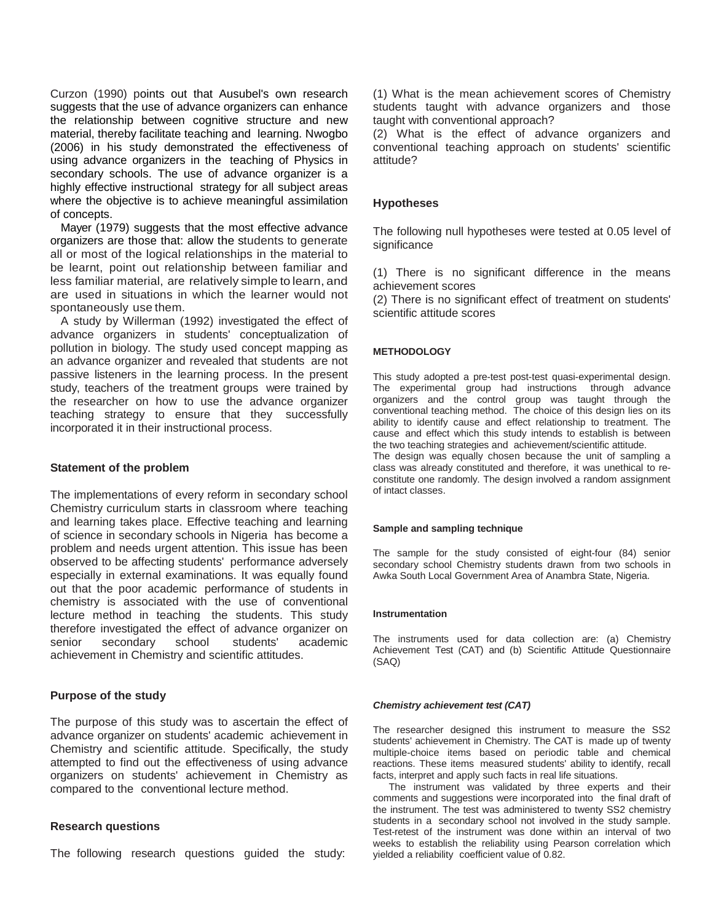Curzon (1990) points out that Ausubel's own research suggests that the use of advance organizers can enhance the relationship between cognitive structure and new material, thereby facilitate teaching and learning. Nwogbo (2006) in his study demonstrated the effectiveness of using advance organizers in the teaching of Physics in secondary schools. The use of advance organizer is a highly effective instructional strategy for all subject areas where the objective is to achieve meaningful assimilation of concepts.

Mayer (1979) suggests that the most effective advance organizers are those that: allow the students to generate all or most of the logical relationships in the material to be learnt, point out relationship between familiar and less familiar material, are relatively simple to learn, and are used in situations in which the learner would not spontaneously use them.

A study by Willerman (1992) investigated the effect of advance organizers in students' conceptualization of pollution in biology. The study used concept mapping as an advance organizer and revealed that students are not passive listeners in the learning process. In the present study, teachers of the treatment groups were trained by the researcher on how to use the advance organizer teaching strategy to ensure that they successfully incorporated it in their instructional process.

## **Statement of the problem**

The implementations of every reform in secondary school Chemistry curriculum starts in classroom where teaching and learning takes place. Effective teaching and learning of science in secondary schools in Nigeria has become a problem and needs urgent attention. This issue has been observed to be affecting students' performance adversely especially in external examinations. It was equally found out that the poor academic performance of students in chemistry is associated with the use of conventional lecture method in teaching the students. This study therefore investigated the effect of advance organizer on senior secondary school students' academic achievement in Chemistry and scientific attitudes.

## **Purpose of the study**

The purpose of this study was to ascertain the effect of advance organizer on students' academic achievement in Chemistry and scientific attitude. Specifically, the study attempted to find out the effectiveness of using advance organizers on students' achievement in Chemistry as compared to the conventional lecture method.

#### **Research questions**

The following research questions guided the study:

(1) What is the mean achievement scores of Chemistry students taught with advance organizers and those taught with conventional approach?

(2) What is the effect of advance organizers and conventional teaching approach on students' scientific attitude?

# **Hypotheses**

The following null hypotheses were tested at 0.05 level of significance

(1) There is no significant difference in the means achievement scores

(2) There is no significant effect of treatment on students' scientific attitude scores

### **METHODOLOGY**

This study adopted a pre-test post-test quasi-experimental design. The experimental group had instructions through advance organizers and the control group was taught through the conventional teaching method. The choice of this design lies on its ability to identify cause and effect relationship to treatment. The cause and effect which this study intends to establish is between the two teaching strategies and achievement/scientific attitude.

The design was equally chosen because the unit of sampling a class was already constituted and therefore, it was unethical to reconstitute one randomly. The design involved a random assignment of intact classes.

#### **Sample and sampling technique**

The sample for the study consisted of eight-four (84) senior secondary school Chemistry students drawn from two schools in Awka South Local Government Area of Anambra State, Nigeria.

#### **Instrumentation**

The instruments used for data collection are: (a) Chemistry Achievement Test (CAT) and (b) Scientific Attitude Questionnaire (SAQ)

#### *Chemistry achievement test (CAT)*

The researcher designed this instrument to measure the SS2 students' achievement in Chemistry. The CAT is made up of twenty multiple-choice items based on periodic table and chemical reactions. These items measured students' ability to identify, recall facts, interpret and apply such facts in real life situations.

The instrument was validated by three experts and their comments and suggestions were incorporated into the final draft of the instrument. The test was administered to twenty SS2 chemistry students in a secondary school not involved in the study sample. Test-retest of the instrument was done within an interval of two weeks to establish the reliability using Pearson correlation which yielded a reliability coefficient value of 0.82.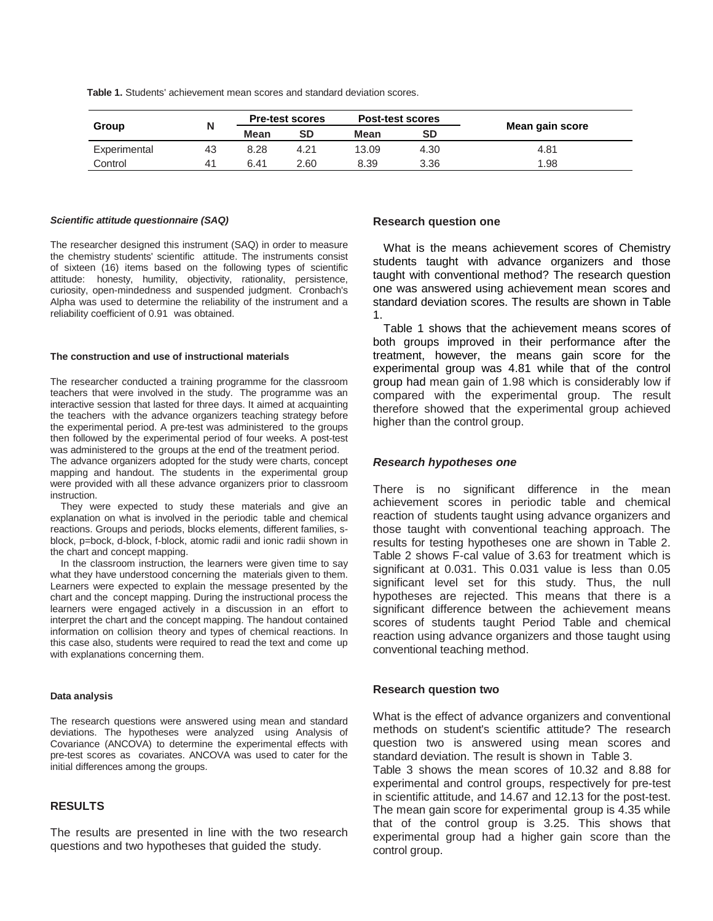**Table 1.** Students' achievement mean scores and standard deviation scores.

| Group        |                | <b>Pre-test scores</b> |           | <b>Post-test scores</b> |           |                 |  |
|--------------|----------------|------------------------|-----------|-------------------------|-----------|-----------------|--|
|              |                | Mean                   | <b>SD</b> | Mean                    | <b>SD</b> | Mean gain score |  |
| Experimental | 43             | 8.28                   | 4.21      | 13.09                   | 4.30      | 4.81            |  |
| Control      | 4 <sup>1</sup> | 6.41                   | 2.60      | 8.39                    | 3.36      | 1.98            |  |

#### *Scientific attitude questionnaire (SAQ)*

The researcher designed this instrument (SAQ) in order to measure the chemistry students' scientific attitude. The instruments consist of sixteen (16) items based on the following types of scientific attitude: honesty, humility, objectivity, rationality, persistence, curiosity, open-mindedness and suspended judgment. Cronbach's Alpha was used to determine the reliability of the instrument and a reliability coefficient of 0.91 was obtained.

#### **The construction and use of instructional materials**

The researcher conducted a training programme for the classroom teachers that were involved in the study. The programme was an interactive session that lasted for three days. It aimed at acquainting the teachers with the advance organizers teaching strategy before the experimental period. A pre-test was administered to the groups then followed by the experimental period of four weeks. A post-test was administered to the groups at the end of the treatment period.

The advance organizers adopted for the study were charts, concept mapping and handout. The students in the experimental group were provided with all these advance organizers prior to classroom instruction.

They were expected to study these materials and give an explanation on what is involved in the periodic table and chemical reactions. Groups and periods, blocks elements, different families, sblock, p=bock, d-block, f-block, atomic radii and ionic radii shown in the chart and concept mapping.

In the classroom instruction, the learners were given time to say what they have understood concerning the materials given to them. Learners were expected to explain the message presented by the chart and the concept mapping. During the instructional process the learners were engaged actively in a discussion in an effort to interpret the chart and the concept mapping. The handout contained information on collision theory and types of chemical reactions. In this case also, students were required to read the text and come up with explanations concerning them.

#### **Data analysis**

The research questions were answered using mean and standard deviations. The hypotheses were analyzed using Analysis of Covariance (ANCOVA) to determine the experimental effects with pre-test scores as covariates. ANCOVA was used to cater for the initial differences among the groups.

# **RESULTS**

The results are presented in line with the two research questions and two hypotheses that guided the study.

#### **Research question one**

What is the means achievement scores of Chemistry students taught with advance organizers and those taught with conventional method? The research question one was answered using achievement mean scores and standard deviation scores. The results are shown in Table 1.

Table 1 shows that the achievement means scores of both groups improved in their performance after the treatment, however, the means gain score for the experimental group was 4.81 while that of the control group had mean gain of 1.98 which is considerably low if compared with the experimental group. The result therefore showed that the experimental group achieved higher than the control group.

#### *Research hypotheses one*

There is no significant difference in the mean achievement scores in periodic table and chemical reaction of students taught using advance organizers and those taught with conventional teaching approach. The results for testing hypotheses one are shown in Table 2. Table 2 shows F-cal value of 3.63 for treatment which is significant at 0.031. This 0.031 value is less than 0.05 significant level set for this study. Thus, the null hypotheses are rejected. This means that there is a significant difference between the achievement means scores of students taught Period Table and chemical reaction using advance organizers and those taught using conventional teaching method.

#### **Research question two**

What is the effect of advance organizers and conventional methods on student's scientific attitude? The research question two is answered using mean scores and standard deviation. The result is shown in Table 3. Table 3 shows the mean scores of 10.32 and 8.88 for

experimental and control groups, respectively for pre-test in scientific attitude, and 14.67 and 12.13 for the post-test. The mean gain score for experimental group is 4.35 while that of the control group is 3.25. This shows that experimental group had a higher gain score than the control group.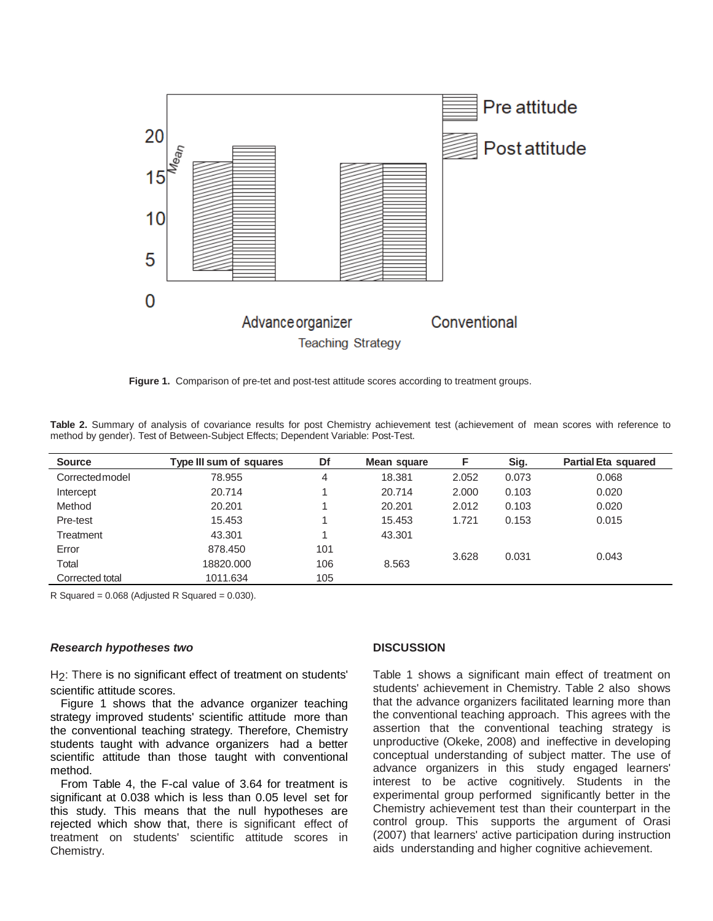

**Figure 1.** Comparison of pre-tet and post-test attitude scores according to treatment groups.

**Table 2.** Summary of analysis of covariance results for post Chemistry achievement test (achievement of mean scores with reference to method by gender). Test of Between-Subject Effects; Dependent Variable: Post-Test.

| <b>Source</b>   | <b>Type III sum of squares</b> | Df  | Mean square | F     | Sig.  | <b>Partial Eta squared</b> |
|-----------------|--------------------------------|-----|-------------|-------|-------|----------------------------|
| Corrected model | 78.955                         | 4   | 18.381      | 2.052 | 0.073 | 0.068                      |
| Intercept       | 20.714                         |     | 20.714      | 2.000 | 0.103 | 0.020                      |
| Method          | 20.201                         |     | 20.201      | 2.012 | 0.103 | 0.020                      |
| Pre-test        | 15.453                         |     | 15.453      | 1.721 | 0.153 | 0.015                      |
| Treatment       | 43.301                         |     | 43.301      |       |       |                            |
| Error           | 878.450                        | 101 |             | 3.628 | 0.031 | 0.043                      |
| Total           | 18820.000                      | 106 | 8.563       |       |       |                            |
| Corrected total | 1011.634                       | 105 |             |       |       |                            |

R Squared =  $0.068$  (Adjusted R Squared =  $0.030$ ).

#### *Research hypotheses two*

H<sub>2</sub>: There is no significant effect of treatment on students' scientific attitude scores.

Figure 1 shows that the advance organizer teaching strategy improved students' scientific attitude more than the conventional teaching strategy. Therefore, Chemistry students taught with advance organizers had a better scientific attitude than those taught with conventional method.

From Table 4, the F-cal value of 3.64 for treatment is significant at 0.038 which is less than 0.05 level set for this study. This means that the null hypotheses are rejected which show that, there is significant effect of treatment on students' scientific attitude scores in Chemistry.

#### **DISCUSSION**

Table 1 shows a significant main effect of treatment on students' achievement in Chemistry. Table 2 also shows that the advance organizers facilitated learning more than the conventional teaching approach. This agrees with the assertion that the conventional teaching strategy is unproductive (Okeke, 2008) and ineffective in developing conceptual understanding of subject matter. The use of advance organizers in this study engaged learners' interest to be active cognitively. Students in the experimental group performed significantly better in the Chemistry achievement test than their counterpart in the control group. This supports the argument of Orasi (2007) that learners' active participation during instruction aids understanding and higher cognitive achievement.